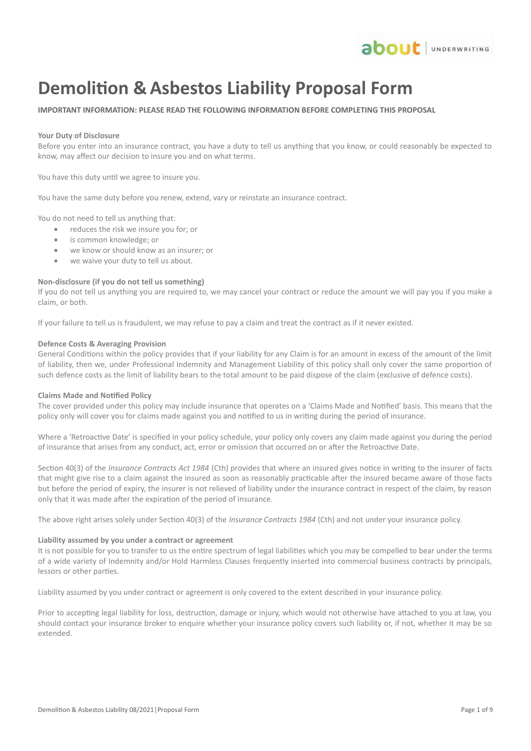

# **Demolition & Asbestos Liability Proposal Form**

## **IMPORTANT INFORMATION: PLEASE READ THE FOLLOWING INFORMATION BEFORE COMPLETING THIS PROPOSAL**

### **Your Duty of Disclosure**

Before you enter into an insurance contract, you have a duty to tell us anything that you know, or could reasonably be expected to know, may affect our decision to insure you and on what terms.

You have this duty until we agree to insure you.

You have the same duty before you renew, extend, vary or reinstate an insurance contract.

You do not need to tell us anything that:

- reduces the risk we insure you for; or
- is common knowledge; or
- we know or should know as an insurer; or
- we waive your duty to tell us about.

### **Non-disclosure (if you do not tell us something)**

If you do not tell us anything you are required to, we may cancel your contract or reduce the amount we will pay you if you make a claim, or both.

If your failure to tell us is fraudulent, we may refuse to pay a claim and treat the contract as if it never existed.

### **Defence Costs & Averaging Provision**

General Conditions within the policy provides that if your liability for any Claim is for an amount in excess of the amount of the limit of liability, then we, under Professional Indemnity and Management Liability of this policy shall only cover the same proportion of such defence costs as the limit of liability bears to the total amount to be paid dispose of the claim (exclusive of defence costs).

### **Claims Made and Notified Policy**

The cover provided under this policy may include insurance that operates on a 'Claims Made and Notified' basis. This means that the policy only will cover you for claims made against you and notified to us in writing during the period of insurance.

Where a 'Retroactive Date' is specified in your policy schedule, your policy only covers any claim made against you during the period of insurance that arises from any conduct, act, error or omission that occurred on or after the Retroactive Date.

Section 40(3) of the *Insurance Contracts Act 1984* (Cth) provides that where an insured gives notice in writing to the insurer of facts that might give rise to a claim against the insured as soon as reasonably practicable after the insured became aware of those facts but before the period of expiry, the insurer is not relieved of liability under the insurance contract in respect of the claim, by reason only that it was made after the expiration of the period of insurance.

The above right arises solely under Section 40(3) of the *Insurance Contracts 1984* (Cth) and not under your insurance policy.

### **Liability assumed by you under a contract or agreement**

It is not possible for you to transfer to us the entire spectrum of legal liabilities which you may be compelled to bear under the terms of a wide variety of Indemnity and/or Hold Harmless Clauses frequently inserted into commercial business contracts by principals, lessors or other parties.

Liability assumed by you under contract or agreement is only covered to the extent described in your insurance policy.

Prior to accepting legal liability for loss, destruction, damage or injury, which would not otherwise have attached to you at law, you should contact your insurance broker to enquire whether your insurance policy covers such liability or, if not, whether it may be so extended.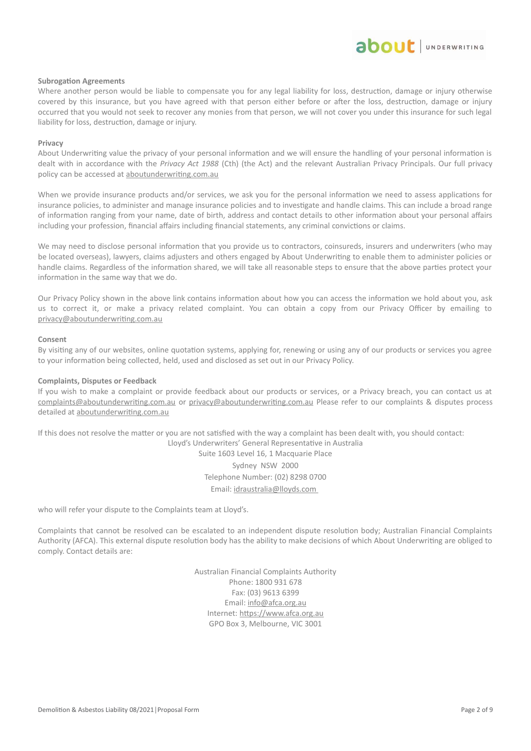# about JUNDERWRITING

### **Subrogation Agreements**

Where another person would be liable to compensate you for any legal liability for loss, destruction, damage or injury otherwise covered by this insurance, but you have agreed with that person either before or after the loss, destruction, damage or injury occurred that you would not seek to recover any monies from that person, we will not cover you under this insurance for such legal liability for loss, destruction, damage or injury.

#### **Privacy**

About Underwriting value the privacy of your personal information and we will ensure the handling of your personal information is dealt with in accordance with the *Privacy Act 1988* (Cth) (the Act) and the relevant Australian Privacy Principals. Our full privacy policy can be accessed at aboutunderwriting.com.au

When we provide insurance products and/or services, we ask you for the personal information we need to assess applications for insurance policies, to administer and manage insurance policies and to investigate and handle claims. This can include a broad range of information ranging from your name, date of birth, address and contact details to other information about your personal affairs including your profession, financial affairs including financial statements, any criminal convictions or claims.

We may need to disclose personal information that you provide us to contractors, coinsureds, insurers and underwriters (who may be located overseas), lawyers, claims adjusters and others engaged by About Underwriting to enable them to administer policies or handle claims. Regardless of the information shared, we will take all reasonable steps to ensure that the above parties protect your information in the same way that we do.

Our Privacy Policy shown in the above link contains information about how you can access the information we hold about you, ask us to correct it, or make a privacy related complaint. You can obtain a copy from our Privacy Officer by emailing to [privacy@aboutunderwriting.com.au](mailto:privacy@aboutunderwriting.com.au)

#### **Consent**

By visiting any of our websites, online quotation systems, applying for, renewing or using any of our products or services you agree to your information being collected, held, used and disclosed as set out in our Privacy Policy.

### **Complaints, Disputes or Feedback**

If you wish to make a complaint or provide feedback about our products or services, or a Privacy breach, you can contact us at [complaints@aboutunderwriting.com.au](mailto:complaints@aboutunderwriting.com.au) or [privacy@aboutunderwriting.com.au](mailto:privacy@aboutunderwriting.com.au) Please refer to our complaints & disputes process detailed at [aboutunderwriting.com.au](http://www.aboutunderwriting.com.au/)

If this does not resolve the matter or you are not satisfied with the way a complaint has been dealt with, you should contact: Lloyd's Underwriters' General Representative in Australia

> Suite 1603 Level 16, 1 Macquarie Place Sydney NSW 2000 Telephone Number: (02) 8298 0700 Email: idraustralia@lloyds.com

who will refer your dispute to the Complaints team at Lloyd's.

Complaints that cannot be resolved can be escalated to an independent dispute resolution body; Australian Financial Complaints Authority (AFCA). This external dispute resolution body has the ability to make decisions of which About Underwriting are obliged to comply. Contact details are:

> Australian Financial Complaints Authority Phone: 1800 931 678 Fax: (03) 9613 6399 Email: [info@afca.org.au](mailto:info@afca.org.au) Internet: [https://www.afca.org.au](https://www.afca.org.au/) GPO Box 3, Melbourne, VIC 3001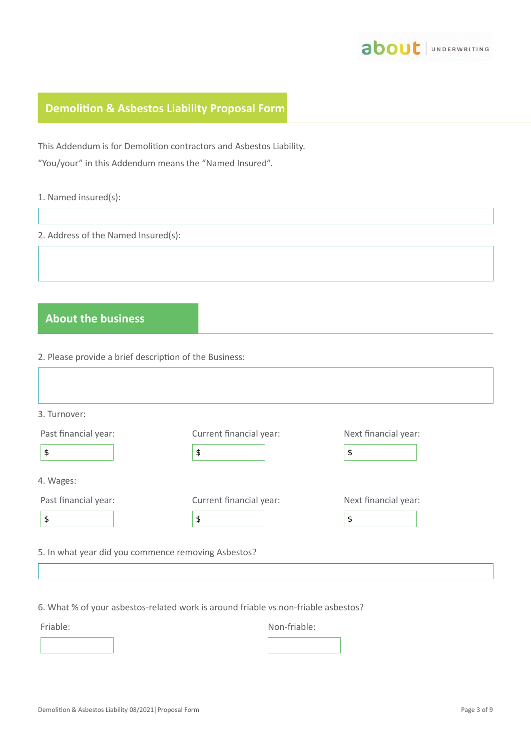

# **Demolition & Asbestos Liability Proposal Form**

This Addendum is for Demolition contractors and Asbestos Liability.

"You/your" in this Addendum means the "Named Insured".

|  |  | 1. Named insured(s): |  |
|--|--|----------------------|--|
|--|--|----------------------|--|

2. Address of the Named Insured(s):

# **About the business**

2. Please provide a brief description of the Business:

| 3. Turnover:         |                         |                      |
|----------------------|-------------------------|----------------------|
| Past financial year: | Current financial year: | Next financial year: |
| \$                   | \$                      | \$                   |
| 4. Wages:            |                         |                      |
| Past financial year: | Current financial year: | Next financial year: |
| \$                   | \$                      | \$                   |

6. What % of your asbestos-related work is around friable vs non-friable asbestos?

Friable: Non-friable: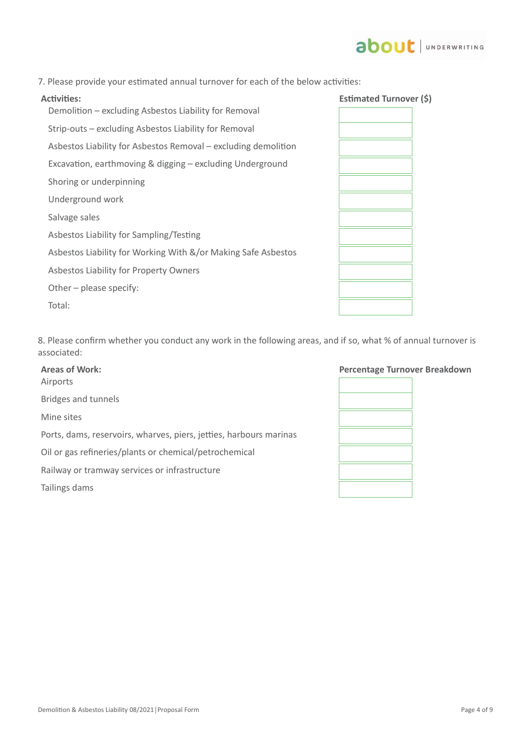# 7. Please provide your estimated annual turnover for each of the below activities:

Demolition – excluding Asbestos Liability for Removal Strip-outs – excluding Asbestos Liability for Removal

Asbestos Liability for Asbestos Removal – excluding demolition

Other – please specify:

Total:

# **Activities: Estimated Turnover (\$)**

| Excavation, earthmoving & digging - excluding Underground     |  |
|---------------------------------------------------------------|--|
| Shoring or underpinning                                       |  |
| Underground work                                              |  |
| Salvage sales                                                 |  |
| Asbestos Liability for Sampling/Testing                       |  |
| Asbestos Liability for Working With &/or Making Safe Asbestos |  |
| Asbestos Liability for Property Owners                        |  |

8. Please confirm whether you conduct any work in the following areas, and if so, what % of annual turnover is associated:

| <b>Areas of Work:</b><br>Airports                                  | <b>Percentage Tu</b> |
|--------------------------------------------------------------------|----------------------|
| Bridges and tunnels                                                |                      |
| Mine sites                                                         |                      |
| Ports, dams, reservoirs, wharves, piers, jetties, harbours marinas |                      |
| Oil or gas refineries/plants or chemical/petrochemical             |                      |
| Railway or tramway services or infrastructure                      |                      |
| Tailings dams                                                      |                      |
|                                                                    |                      |



# **about** JUNDERWRITING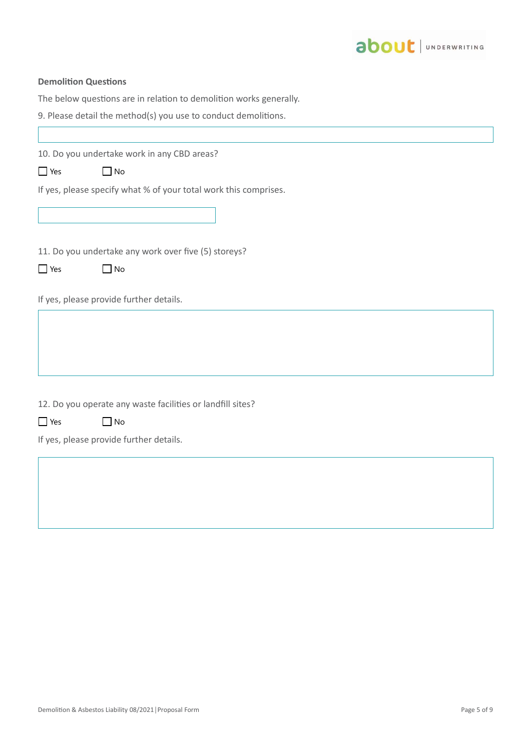

## **Demolition Questions**

The below questions are in relation to demolition works generally.

|  |  |  |  |  |  |  |  | 9. Please detail the method(s) you use to conduct demolitions. |  |
|--|--|--|--|--|--|--|--|----------------------------------------------------------------|--|
|--|--|--|--|--|--|--|--|----------------------------------------------------------------|--|

10. Do you undertake work in any CBD areas?

| Yes. | l No |
|------|------|
|------|------|

If yes, please specify what % of your total work this comprises.

11. Do you undertake any work over five (5) storeys?

| - Yes | l No |
|-------|------|

If yes, please provide further details.

12. Do you operate any waste facilities or landfill sites?

| $\Box$ Yes | l INo |
|------------|-------|
|------------|-------|

If yes, please provide further details.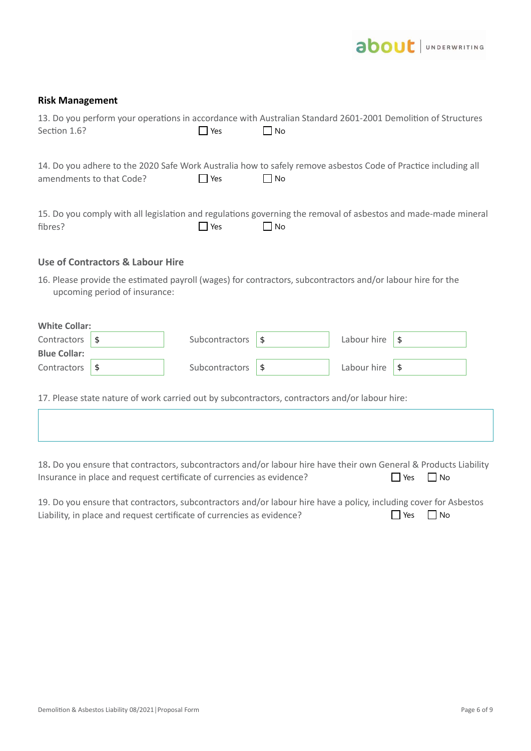

# **Risk Management**

| Section 1.6?         |                                  | 13. Do you perform your operations in accordance with Australian Standard 2601-2001 Demolition of Structures<br><b>P</b> Yes | l INo     |             |            |  |
|----------------------|----------------------------------|------------------------------------------------------------------------------------------------------------------------------|-----------|-------------|------------|--|
|                      | amendments to that Code?         | 14. Do you adhere to the 2020 Safe Work Australia how to safely remove asbestos Code of Practice including all<br>$\Box$ Yes | $\Box$ No |             |            |  |
| fibres?              |                                  | 15. Do you comply with all legislation and regulations governing the removal of asbestos and made-made mineral<br>$\Box$ Yes | $\Box$ No |             |            |  |
|                      | Use of Contractors & Labour Hire |                                                                                                                              |           |             |            |  |
|                      | upcoming period of insurance:    | 16. Please provide the estimated payroll (wages) for contractors, subcontractors and/or labour hire for the                  |           |             |            |  |
| <b>White Collar:</b> |                                  |                                                                                                                              |           |             |            |  |
| Contractors          | \$                               | Subcontractors                                                                                                               | \$        | Labour hire | $\sqrt{3}$ |  |
| <b>Blue Collar:</b>  |                                  |                                                                                                                              |           |             |            |  |
| Contractors          | \$                               | Subcontractors                                                                                                               | \$        | Labour hire | \$         |  |
|                      |                                  | 17. Please state nature of work carried out by subcontractors, contractors and/or labour hire:                               |           |             |            |  |

18**.** Do you ensure that contractors, subcontractors and/or labour hire have their own General & Products Liability Insurance in place and request certificate of currencies as evidence?  $\Box$  Yes  $\Box$  No

| 19. Do you ensure that contractors, subcontractors and/or labour hire have a policy, including cover for Asbestos |                      |  |
|-------------------------------------------------------------------------------------------------------------------|----------------------|--|
| Liability, in place and request certificate of currencies as evidence?                                            | $\Box$ Yes $\Box$ No |  |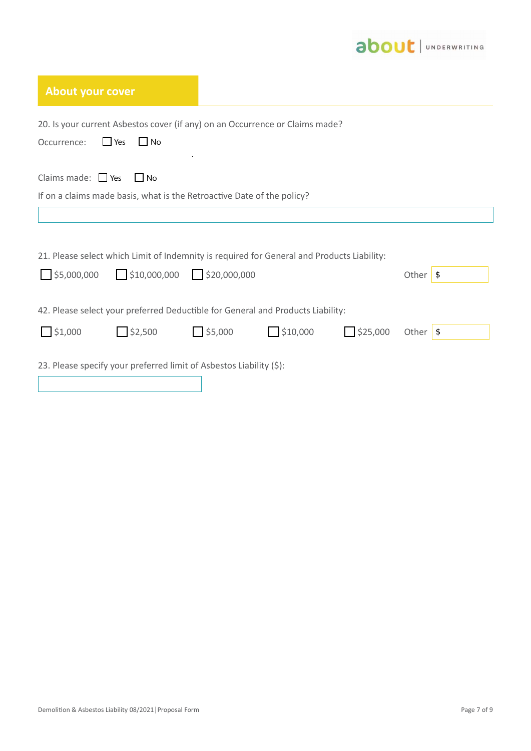

| <b>About your cover</b>                                                                                   |                |        |         |                 |                  |
|-----------------------------------------------------------------------------------------------------------|----------------|--------|---------|-----------------|------------------|
| 20. Is your current Asbestos cover (if any) on an Occurrence or Claims made?<br>$\Box$ Yes<br>Occurrence: | $\Box$ No      |        |         |                 |                  |
| Claims made: $\Box$ Yes                                                                                   | l INo          |        |         |                 |                  |
| If on a claims made basis, what is the Retroactive Date of the policy?                                    |                |        |         |                 |                  |
|                                                                                                           |                |        |         |                 |                  |
| 21. Please select which Limit of Indemnity is required for General and Products Liability:                |                |        |         |                 |                  |
| $\frac{1}{2}$ \$5,000,000 $\frac{1}{2}$ \$10,000,000 $\frac{1}{2}$ \$20,000,000                           |                |        |         |                 | Other $\sqrt{s}$ |
| 42. Please select your preferred Deductible for General and Products Liability:                           |                |        |         |                 |                  |
| $\bigcup$ \$1,000                                                                                         | $\Box$ \$2,500 | 55,000 | 510,000 | $\Box$ \$25,000 | Other $\sqrt{s}$ |
| 23. Please specify your preferred limit of Asbestos Liability (\$):                                       |                |        |         |                 |                  |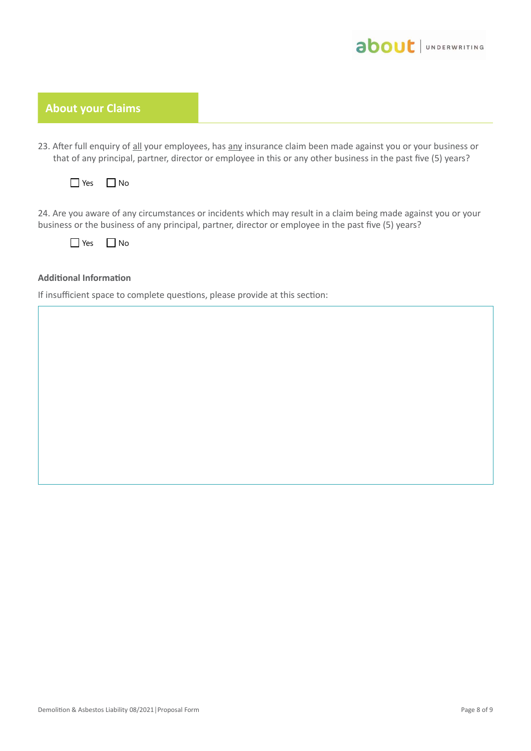

# **About your Claims**

- 23. After full enquiry of all your employees, has any insurance claim been made against you or your business or that of any principal, partner, director or employee in this or any other business in the past five (5) years?
	- $\Box$  Yes  $\Box$  No

24. Are you aware of any circumstances or incidents which may result in a claim being made against you or your business or the business of any principal, partner, director or employee in the past five (5) years?

 $\Box$  Yes  $\Box$  No

# **Additional Information**

If insufficient space to complete questions, please provide at this section: